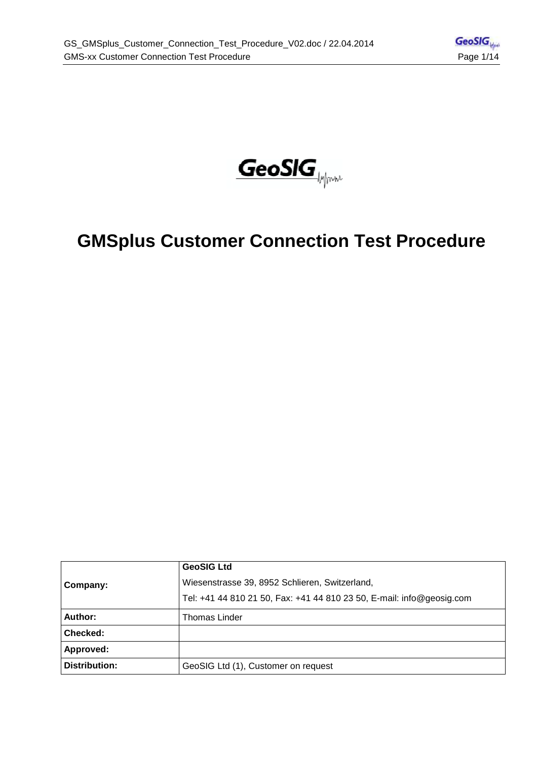

# **GMSplus Customer Connection Test Procedure**

|               | <b>GeoSIG Ltd</b>                                                     |
|---------------|-----------------------------------------------------------------------|
| Company:      | Wiesenstrasse 39, 8952 Schlieren, Switzerland,                        |
|               | Tel: +41 44 810 21 50, Fax: +41 44 810 23 50, E-mail: info@geosig.com |
| Author:       | <b>Thomas Linder</b>                                                  |
| Checked:      |                                                                       |
| Approved:     |                                                                       |
| Distribution: | GeoSIG Ltd (1), Customer on request                                   |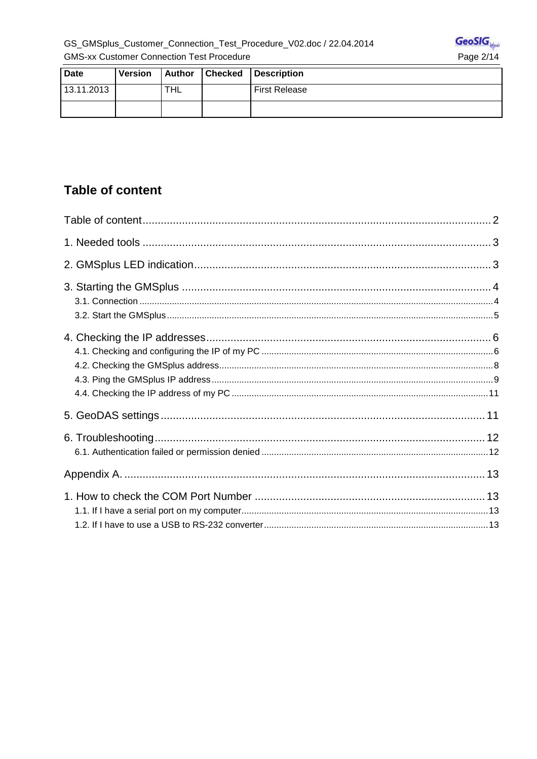

| <b>Date</b> | <b>Version</b> | Author     | <b>Checked</b> | <b>Description</b>   |
|-------------|----------------|------------|----------------|----------------------|
| 13.11.2013  |                | <b>THL</b> |                | <b>First Release</b> |
|             |                |            |                |                      |

## **Table of content**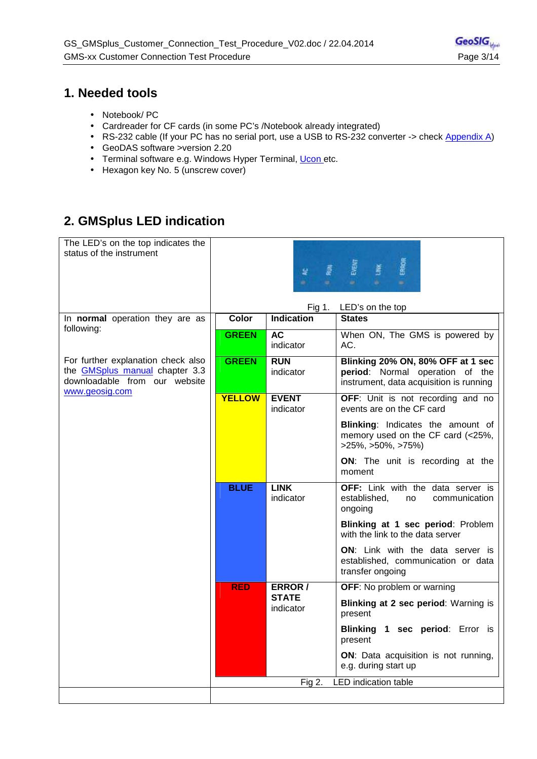#### **1. Needed tools**

- Notebook/ PC
- Cardreader for CF cards (in some PC's /Notebook already integrated)
- RS-232 cable (If your PC has no serial port, use a USB to RS-232 converter -> check Appendix A)
- GeoDAS software >version 2.20
- Terminal software e.g. Windows Hyper Terminal, Ucon etc.
- Hexagon key No. 5 (unscrew cover)

## **2. GMSplus LED indication**

| The LED's on the top indicates the<br>status of the instrument                                                                 |               | 놫                           | ERROR<br>薹                                                                                                      |
|--------------------------------------------------------------------------------------------------------------------------------|---------------|-----------------------------|-----------------------------------------------------------------------------------------------------------------|
|                                                                                                                                | <b>Color</b>  | Fig 1.<br><b>Indication</b> | LED's on the top                                                                                                |
| In normal operation they are as<br>following:                                                                                  |               |                             | <b>States</b>                                                                                                   |
|                                                                                                                                | <b>GREEN</b>  | <b>AC</b><br>indicator      | When ON, The GMS is powered by<br>AC.                                                                           |
| For further explanation check also<br>the <b>GMSplus</b> manual chapter 3.3<br>downloadable from our website<br>www.geosig.com | <b>GREEN</b>  | <b>RUN</b><br>indicator     | Blinking 20% ON, 80% OFF at 1 sec<br>period: Normal operation of the<br>instrument, data acquisition is running |
|                                                                                                                                | <b>YELLOW</b> | <b>EVENT</b><br>indicator   | OFF: Unit is not recording and no<br>events are on the CF card                                                  |
|                                                                                                                                |               |                             | <b>Blinking:</b> Indicates the amount of<br>memory used on the CF card (<25%,<br>$>25\%, >50\%, >75\%)$         |
|                                                                                                                                |               |                             | ON: The unit is recording at the<br>moment                                                                      |
|                                                                                                                                | <b>BLUE</b>   | <b>LINK</b><br>indicator    | OFF: Link with the data server is<br>established,<br>communication<br>no<br>ongoing                             |
|                                                                                                                                |               |                             | Blinking at 1 sec period: Problem<br>with the link to the data server                                           |
|                                                                                                                                |               |                             | ON: Link with the data server is<br>established, communication or data<br>transfer ongoing                      |
|                                                                                                                                | <b>RED</b>    | ERROR /                     | <b>OFF:</b> No problem or warning                                                                               |
|                                                                                                                                |               | <b>STATE</b><br>indicator   | Blinking at 2 sec period: Warning is<br>present                                                                 |
|                                                                                                                                |               |                             | Blinking 1 sec period: Error is<br>present                                                                      |
|                                                                                                                                |               |                             | ON: Data acquisition is not running,<br>e.g. during start up                                                    |
|                                                                                                                                |               | Fig $2.$                    | <b>LED</b> indication table                                                                                     |
|                                                                                                                                |               |                             |                                                                                                                 |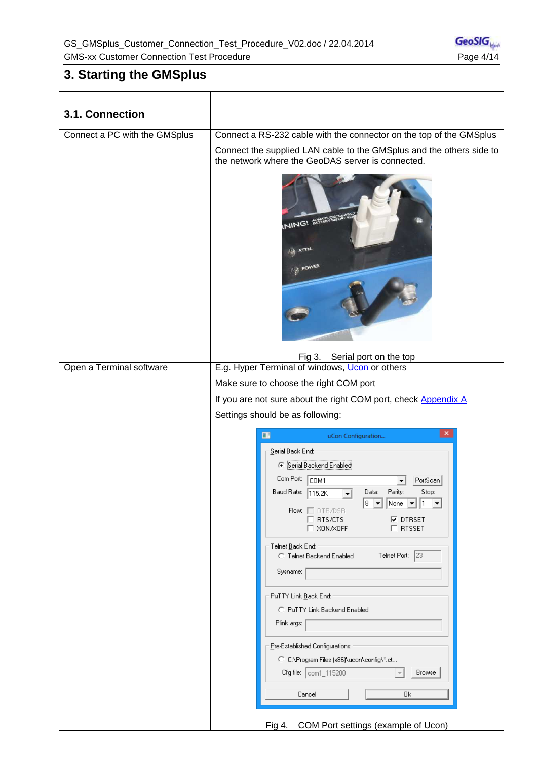## **3. Starting the GMSplus**

| 3.1. Connection               |                                                                                                                                                                                                                                                                                                                                                                                                                                                                                                                                                                                                                                                                 |
|-------------------------------|-----------------------------------------------------------------------------------------------------------------------------------------------------------------------------------------------------------------------------------------------------------------------------------------------------------------------------------------------------------------------------------------------------------------------------------------------------------------------------------------------------------------------------------------------------------------------------------------------------------------------------------------------------------------|
|                               |                                                                                                                                                                                                                                                                                                                                                                                                                                                                                                                                                                                                                                                                 |
| Connect a PC with the GMSplus | Connect a RS-232 cable with the connector on the top of the GMSplus<br>Connect the supplied LAN cable to the GMSplus and the others side to<br>the network where the GeoDAS server is connected.<br><b>NING! SKYAR RECORDED</b><br>ATTN.<br><b>POWER</b>                                                                                                                                                                                                                                                                                                                                                                                                        |
|                               | Fig 3.<br>Serial port on the top                                                                                                                                                                                                                                                                                                                                                                                                                                                                                                                                                                                                                                |
| Open a Terminal software      | E.g. Hyper Terminal of windows, Ucon or others                                                                                                                                                                                                                                                                                                                                                                                                                                                                                                                                                                                                                  |
|                               | Make sure to choose the right COM port                                                                                                                                                                                                                                                                                                                                                                                                                                                                                                                                                                                                                          |
|                               | If you are not sure about the right COM port, check Appendix A                                                                                                                                                                                                                                                                                                                                                                                                                                                                                                                                                                                                  |
|                               | Settings should be as following:                                                                                                                                                                                                                                                                                                                                                                                                                                                                                                                                                                                                                                |
|                               | ×                                                                                                                                                                                                                                                                                                                                                                                                                                                                                                                                                                                                                                                               |
|                               | Ξ<br>uCon Configuration<br>Serial Back End:<br>Serial Backend Enabled<br>Com Port:<br>COM1<br>PortScan<br>Baud Rate:<br>Parity:<br>Stop:<br>Data:<br>115.2K<br>▼<br>$8 \times$ None $\frac{1}{2}$ 1 $\frac{1}{2}$<br>Flow: $\Box$ DTR/DSR<br><b>☑</b> DTRSET<br>RTS/CTS<br>XON/XOFF<br>$\Box$ RTSSET<br>-Telnet <u>B</u> ack End:<br>Telnet Port: 23<br><b>C</b> Telnet Backend Enabled<br>Sysname:<br>PuTTY Link Back End:<br>C PuTTY Link Backend Enabled<br>Plink args:<br>Pre-Established Configurations:<br>C: C:\Program Files (x86)\ucon\config\*.ct<br>Cfg file: com1_115200<br>Browse<br>Cancel<br>0k<br>COM Port settings (example of Ucon)<br>Fig 4. |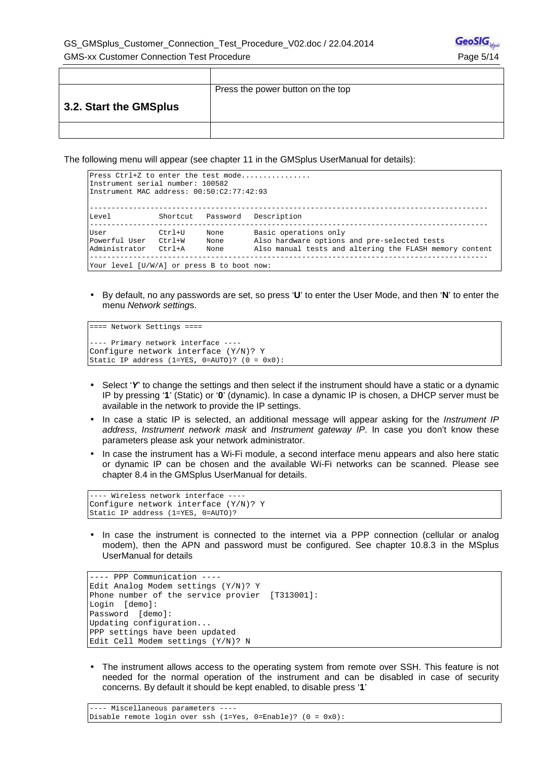|                        | Press the power button on the top |
|------------------------|-----------------------------------|
| 3.2. Start the GMSplus |                                   |
|                        |                                   |

The following menu will appear (see chapter 11 in the GMSplus UserManual for details):

| Press Ctrl+Z to enter the test mode<br>Instrument serial number: 100582<br>Instrument MAC address: $00:50:2:77:42:93$ |                                |                      |                                                                                                                                  |
|-----------------------------------------------------------------------------------------------------------------------|--------------------------------|----------------------|----------------------------------------------------------------------------------------------------------------------------------|
| Level                                                                                                                 |                                |                      | Shortcut Password Description                                                                                                    |
| User<br>Powerful User<br>Administrator<br>Your level [U/W/A] or press B to boot now:                                  | Ctrl+U<br>$Ctr1+W$<br>$C+r1+A$ | None<br>None<br>None | Basic operations only<br>Also hardware options and pre-selected tests<br>Also manual tests and altering the FLASH memory content |

• By default, no any passwords are set, so press '**U**' to enter the User Mode, and then '**N**' to enter the menu Network settings.

```
==== Network Settings ==== 
---- Primary network interface ---- 
Configure network interface (Y/N)? Y
Static IP address (1=YES, 0=AUTO)? (0 = 0x0):
```
- Select 'Y' to change the settings and then select if the instrument should have a static or a dynamic IP by pressing '**1**' (Static) or '**0**' (dynamic). In case a dynamic IP is chosen, a DHCP server must be available in the network to provide the IP settings.
- In case a static IP is selected, an additional message will appear asking for the Instrument IP address. Instrument network mask and Instrument gateway IP. In case you don't know these parameters please ask your network administrator.
- In case the instrument has a Wi-Fi module, a second interface menu appears and also here static or dynamic IP can be chosen and the available Wi-Fi networks can be scanned. Please see chapter 8.4 in the GMSplus UserManual for details.

```
---- Wireless network interface ---- 
Configure network interface (Y/N)? Y
Static IP address (1=YES, 0=AUTO)?
```
• In case the instrument is connected to the internet via a PPP connection (cellular or analog modem), then the APN and password must be configured. See chapter 10.8.3 in the MSplus UserManual for details

```
---- PPP Communication ---- 
Edit Analog Modem settings (Y/N)? Y 
Phone number of the service provier [T313001]:
Login [demo]: 
Password [demo]: 
Updating configuration... 
PPP settings have been updated 
Edit Cell Modem settings (Y/N)? N
```
• The instrument allows access to the operating system from remote over SSH. This feature is not needed for the normal operation of the instrument and can be disabled in case of security concerns. By default it should be kept enabled, to disable press '**1**'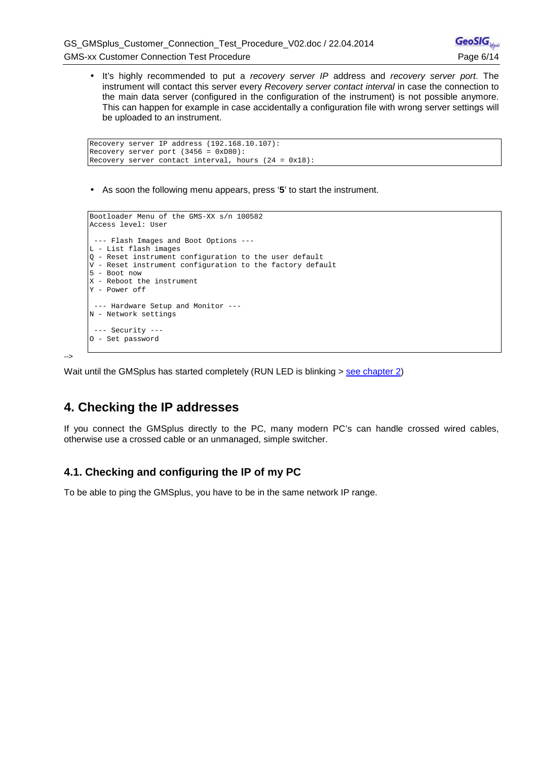• It's highly recommended to put a recovery server IP address and recovery server port. The instrument will contact this server every Recovery server contact interval in case the connection to the main data server (configured in the configuration of the instrument) is not possible anymore. This can happen for example in case accidentally a configuration file with wrong server settings will be uploaded to an instrument.

```
Recovery server IP address (192.168.10.107): 
Recovery server port (3456 = 0xD80):
Recovery server contact interval, hours (24 = 0x18):
```
• As soon the following menu appears, press '**5**' to start the instrument.

```
Bootloader Menu of the GMS-XX s/n 100582 
Access level: User 
  --- Flash Images and Boot Options --- 
L - List flash images 
Q - Reset instrument configuration to the user default 
V - Reset instrument configuration to the factory default 
5 - Boot now 
X - Reboot the instrument 
Y - Power off 
 --- Hardware Setup and Monitor --- 
N - Network settings 
 --- Security --- 
O - Set password
```
-->

Wait until the GMSplus has started completely (RUN LED is blinking > see chapter 2)

## **4. Checking the IP addresses**

If you connect the GMSplus directly to the PC, many modern PC's can handle crossed wired cables, otherwise use a crossed cable or an unmanaged, simple switcher.

#### **4.1. Checking and configuring the IP of my PC**

To be able to ping the GMSplus, you have to be in the same network IP range.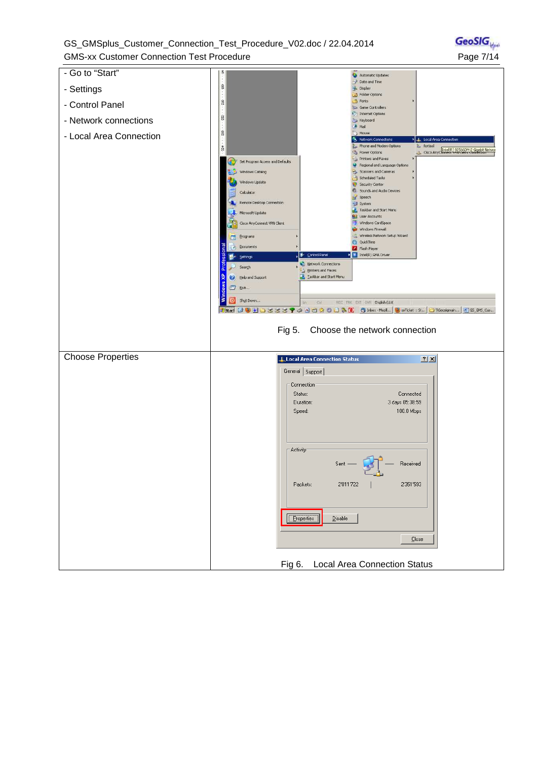GS\_GMSplus\_Customer\_Connection\_Test\_Procedure\_V02.doc / 22.04.2014 GMS-xx Customer Connection Test Procedure **Page 7/14** 

**GeoSIG** 

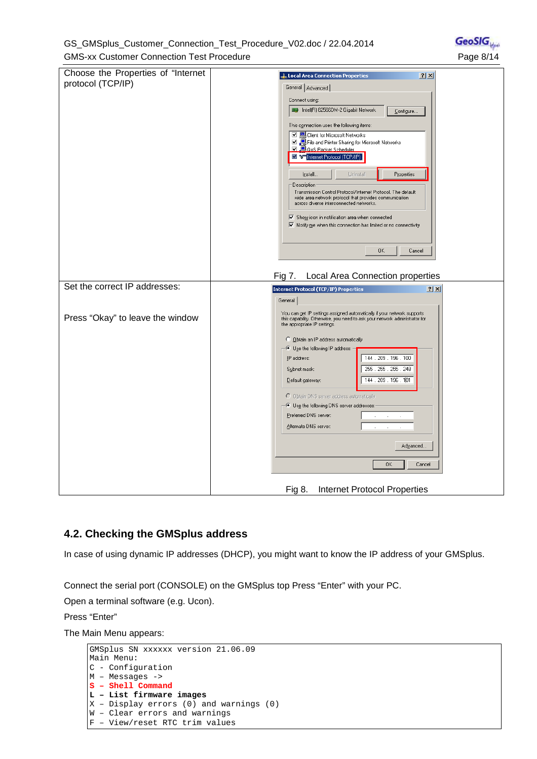#### GS\_GMSplus\_Customer\_Connection\_Test\_Procedure\_V02.doc / 22.04.2014 GMS-xx Customer Connection Test Procedure **Page 1996** Page 8/14

| Choose the Properties of "Internet<br>protocol (TCP/IP)<br>Set the correct IP addresses:<br>Press "Okay" to leave the window | L. Local Area Connection Properties<br> ? X <br>General   Advanced  <br>Connect using:<br>■ Intel(R) 82566DM-2 Gigabit Network<br>Configure<br>This connection uses the following items:<br>□ □ Client for Microsoft Networks<br>☑ ■ File and Printer Sharing for Microsoft Networks<br><b>☑ □ 0oS Packet Scheduler</b><br>The Trail internet Protocol (TCP/IP)<br>Install<br>Uninstall<br>Properties<br>Description:<br>Transmission Control Protocol/Internet Protocol. The default<br>wide area network protocol that provides communication<br>across diverse interconnected networks.<br>$\triangledown$ Show icon in notification area when connected<br>$\boxed{\checkmark}$ Notify me when this connection has limited or no connectivity<br>0K<br>Cancel<br>Fig 7.<br>Local Area Connection properties<br><b>Internet Protocol (TCP/IP) Properties</b><br>$2 \times$<br>General<br>You can get IP settings assigned automatically if your network supports<br>this capability. Otherwise, you need to ask your network administrator for<br>the appropriate IP settings.<br>C Obtain an IP address automatically<br>. Use the following IP address:<br>144 . 209 . 196 . 100<br>IP address:<br>255 . 255 . 255 . 248<br>Subnet mask: |
|------------------------------------------------------------------------------------------------------------------------------|-----------------------------------------------------------------------------------------------------------------------------------------------------------------------------------------------------------------------------------------------------------------------------------------------------------------------------------------------------------------------------------------------------------------------------------------------------------------------------------------------------------------------------------------------------------------------------------------------------------------------------------------------------------------------------------------------------------------------------------------------------------------------------------------------------------------------------------------------------------------------------------------------------------------------------------------------------------------------------------------------------------------------------------------------------------------------------------------------------------------------------------------------------------------------------------------------------------------------------------------------|
|                                                                                                                              | 144 . 209 . 196 . 101<br>Default gateway:<br>O Obtain DNS server address automatically                                                                                                                                                                                                                                                                                                                                                                                                                                                                                                                                                                                                                                                                                                                                                                                                                                                                                                                                                                                                                                                                                                                                                        |
|                                                                                                                              |                                                                                                                                                                                                                                                                                                                                                                                                                                                                                                                                                                                                                                                                                                                                                                                                                                                                                                                                                                                                                                                                                                                                                                                                                                               |
|                                                                                                                              | - © Use the following DNS server addresses:<br>Preferred DNS server:<br>Alternate DNS server:<br>Advanced<br>0K<br>Cancel<br><b>Internet Protocol Properties</b><br>Fig 8.                                                                                                                                                                                                                                                                                                                                                                                                                                                                                                                                                                                                                                                                                                                                                                                                                                                                                                                                                                                                                                                                    |

#### **4.2. Checking the GMSplus address**

In case of using dynamic IP addresses (DHCP), you might want to know the IP address of your GMSplus.

Connect the serial port (CONSOLE) on the GMSplus top Press "Enter" with your PC.

Open a terminal software (e.g. Ucon).

Press "Enter"

The Main Menu appears:

```
GMSplus SN xxxxxx version 21.06.09 
Main Menu: 
C - Configuration 
M - Messages ->
S – Shell Command 
L – List firmware images 
X - Display errors (0) and warnings (0)
W – Clear errors and warnings 
F – View/reset RTC trim values
```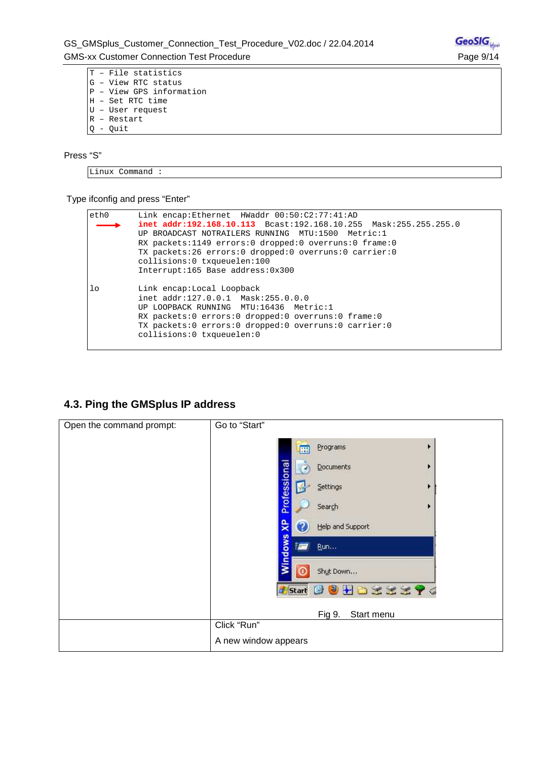T – File statistics G – View RTC status P – View GPS information H – Set RTC time U – User request R – Restart Q - Quit

Press "S"

Linux Command :

Type ifconfig and press "Enter"

| eth0           | Link encap:Ethernet HWaddr 00:50:C2:77:41:AD<br>$\texttt{inet addr:192.168.10.113}$ Bcast:192.168.10.255 Mask:255.255.255.0<br>UP BROADCAST NOTRAILERS RUNNING MTU:1500 Metric:1<br>RX packets:1149 errors:0 dropped:0 overruns:0 frame:0<br>TX packets:26 errors:0 dropped:0 overruns:0 carrier:0<br>collisions:0 txqueuelen:100<br>Interrupt:165 Base address:0x300 |
|----------------|-----------------------------------------------------------------------------------------------------------------------------------------------------------------------------------------------------------------------------------------------------------------------------------------------------------------------------------------------------------------------|
| 1 <sub>o</sub> | Link encap:Local Loopback<br>inet addr:127.0.0.1 Mask:255.0.0.0<br>UP LOOPBACK RUNNING MTU:16436 Metric:1<br>RX packets:0 errors:0 dropped:0 overruns:0 frame:0<br>TX packets:0 errors:0 dropped:0 overruns:0 carrier:0<br>collisions:0 txqueuelen:0                                                                                                                  |

#### **4.3. Ping the GMSplus IP address**

| Open the command prompt: | Go to "Start"                                  |  |
|--------------------------|------------------------------------------------|--|
|                          | Programs<br>E                                  |  |
|                          | Documents<br>٠<br>×                            |  |
|                          | Professional<br>Settings<br>۲                  |  |
|                          | Search                                         |  |
|                          | $\mathbf{R}$<br>Help and Support<br>7          |  |
|                          | <b>Nindows</b><br>i m<br>Run                   |  |
|                          | Shut Down                                      |  |
|                          | $H$ <b>DEEE?4</b><br>d Start<br>Э<br>$\bullet$ |  |
|                          | Fig 9.<br>Start menu                           |  |
|                          | Click "Run"                                    |  |
|                          | A new window appears                           |  |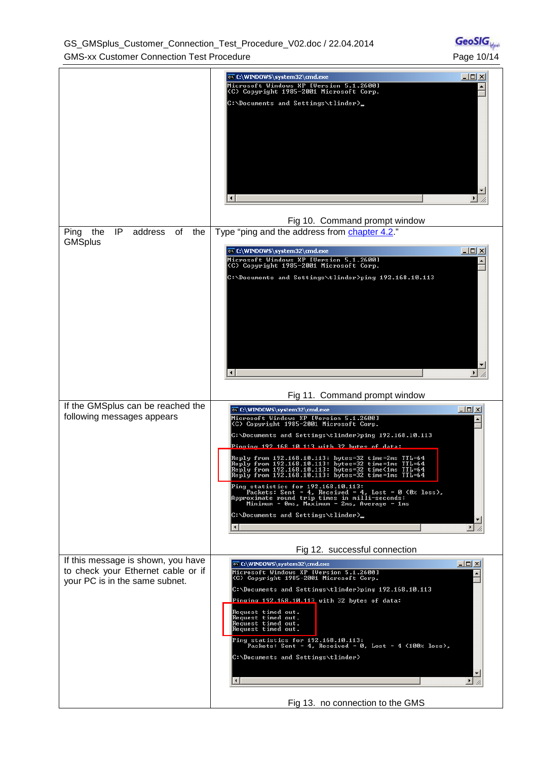GS\_GMSplus\_Customer\_Connection\_Test\_Procedure\_V02.doc / 22.04.2014 GMS-xx Customer Connection Test Procedure **Page 10/14** Page 10/14

|                                                                          | $\Box$ ol $\times$<br>ox C:\WINDOWS\system32\cmd.exe                                                                                                                                                                     |  |
|--------------------------------------------------------------------------|--------------------------------------------------------------------------------------------------------------------------------------------------------------------------------------------------------------------------|--|
|                                                                          | Microsoft Windows XP [Version 5.1.2600]<br>(C) Copyright 1985-2001 Microsoft Corp.<br>C:\Documents and Settings\tlinder>_                                                                                                |  |
|                                                                          |                                                                                                                                                                                                                          |  |
|                                                                          |                                                                                                                                                                                                                          |  |
|                                                                          |                                                                                                                                                                                                                          |  |
|                                                                          | Fig 10. Command prompt window                                                                                                                                                                                            |  |
| IP<br>address<br>Ping<br>the<br>οf<br>the<br><b>GMSplus</b>              | Type "ping and the address from chapter 4.2."                                                                                                                                                                            |  |
|                                                                          | $\Box$ olx<br><b>ON C:\WINDOWS\system32\cmd.exe</b>                                                                                                                                                                      |  |
|                                                                          | Microsoft Windows XP [Version 5.1.2600]<br>(C) Copyright 1985-2001 Microsoft Corp.                                                                                                                                       |  |
|                                                                          | C:\Documents and Settings\tlinder>ping 192.168.10.113                                                                                                                                                                    |  |
|                                                                          |                                                                                                                                                                                                                          |  |
|                                                                          |                                                                                                                                                                                                                          |  |
|                                                                          |                                                                                                                                                                                                                          |  |
|                                                                          |                                                                                                                                                                                                                          |  |
|                                                                          |                                                                                                                                                                                                                          |  |
|                                                                          |                                                                                                                                                                                                                          |  |
| If the GMSplus can be reached the                                        | Fig 11. Command prompt window                                                                                                                                                                                            |  |
| following messages appears                                               | $\Box$ D $\Box$<br><b>EX C:\WINDOWS\system32\cmd.exe</b><br>Microsoft Windows XP [Version 5.1.2600]<br>(C) Copyright 1985-2001 Microsoft Corp.                                                                           |  |
|                                                                          | C:\Documents and Settings\tlinder>ping 192.168.10.113                                                                                                                                                                    |  |
|                                                                          | Pinging 192.168.10.113 with 32 bytes of data:                                                                                                                                                                            |  |
|                                                                          | Reply from 192.168.10.113: bytes=32 time=2ms TTL=64<br>Reply from 192.168.10.113: bytes=32 time=1ms TTL=64<br>Reply from 192.168.10.113: bytes=32 time<1ms IIL=64<br>Reply from 192.168.10.113: bytes=32 time=1ms TTL=64 |  |
|                                                                          | Ping statistics for 192.168.10.113:<br>Packets: Sent = 4, Received = 4, Lost = 0 (0% loss),<br>Approximate round trip times in milli-seconds:<br>Minimum = Øms, Maximum = 2ms, Average = 1ms                             |  |
|                                                                          | C:\Documents and Settings\tlinder>_                                                                                                                                                                                      |  |
|                                                                          |                                                                                                                                                                                                                          |  |
|                                                                          | Fig 12. successful connection                                                                                                                                                                                            |  |
| If this message is shown, you have<br>to check your Ethernet cable or if | $\Box$ o $\times$<br>ox C:\WINDOWS\system32\cmd.exe<br>Microsoft Windows XP [Version 5.1.2600]                                                                                                                           |  |
| your PC is in the same subnet.                                           | (C) Copyright 1985-2001 Microsoft Corp.<br>C:\Documents and Settings\tlinder>ping 192.168.10.113                                                                                                                         |  |
|                                                                          | Pinging 192.168.10.113 with 32 bytes of data:                                                                                                                                                                            |  |
|                                                                          | <b>Request timed out.</b><br>Request timed out.<br><b>Request timed out.</b>                                                                                                                                             |  |
|                                                                          | Request timed out.                                                                                                                                                                                                       |  |
|                                                                          | Ping statistics for 192.168.10.113:<br>Packets: Sent = 4, Received = 0, Lost = 4 $(100x \text{ loss})$ ,                                                                                                                 |  |
|                                                                          | C:\Documents and Settings\tlinder>                                                                                                                                                                                       |  |
|                                                                          |                                                                                                                                                                                                                          |  |
|                                                                          | Fig 13. no connection to the GMS                                                                                                                                                                                         |  |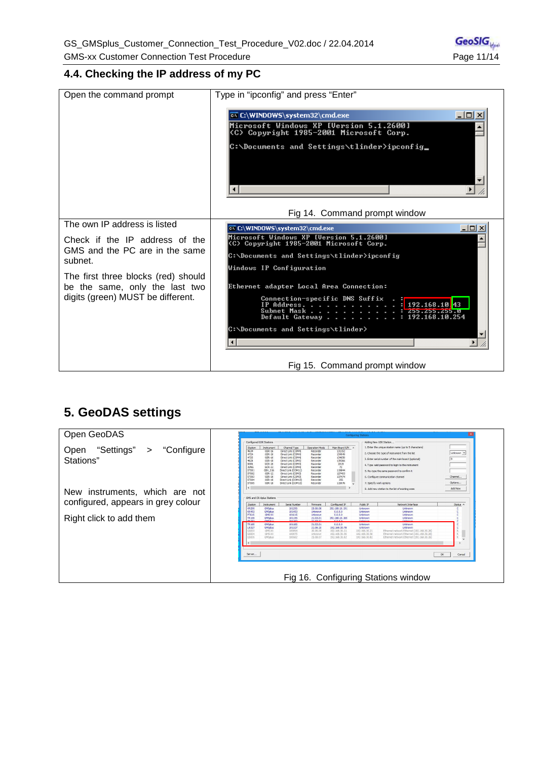#### **4.4. Checking the IP address of my PC**

| Open the command prompt                                          | Type in "ipconfig" and press "Enter"                                                                                                          |
|------------------------------------------------------------------|-----------------------------------------------------------------------------------------------------------------------------------------------|
|                                                                  | $ \Box$ $\times$<br>EX C:\WINDOWS\system32\cmd.exe                                                                                            |
|                                                                  | Microsoft Windows XP [Version 5.1.2600]<br>(C) Copyright 1985-2001 Microsoft Corp.                                                            |
|                                                                  | C:\Documents and Settings\tlinder>ipconfig_                                                                                                   |
|                                                                  |                                                                                                                                               |
|                                                                  | Fig 14. Command prompt window                                                                                                                 |
| The own IP address is listed                                     | EX C:\WINDOWS\system32\cmd.exe<br>$ \Box$ $\times$                                                                                            |
| Check if the IP address of the<br>GMS and the PC are in the same | Microsoft Windows XP [Version 5.1.2600]<br>(C) Copyright 1985-2001 Microsoft Corp.<br>C:\Documents and Settings\tlinder>ipconfig              |
| subnet.                                                          | Windows IP Configuration                                                                                                                      |
| The first three blocks (red) should                              |                                                                                                                                               |
| be the same, only the last two                                   | Ethernet adapter Local Area Connection:                                                                                                       |
| digits (green) MUST be different.                                | Connection-specific DNS Suffix<br>IP Address. $\ldots$<br>192.168.10.43<br>Subnet Mask<br>B.CC2.CC2.CC2 :<br>Default Gateway : 192.168.10.254 |
|                                                                  | C:\Documents and Settings\tlinder>                                                                                                            |
|                                                                  |                                                                                                                                               |
|                                                                  | Fig 15. Command prompt window                                                                                                                 |

## **5. GeoDAS settings**

| Open GeoDAS                                                    |                                                                                |                                                                                                             |                                                                                                                                                                                                    |                                                                                                          |                                                                                  | <b>Configuring Stations</b>                                              |                                                                                                                                                                                                                                                |                                    |
|----------------------------------------------------------------|--------------------------------------------------------------------------------|-------------------------------------------------------------------------------------------------------------|----------------------------------------------------------------------------------------------------------------------------------------------------------------------------------------------------|----------------------------------------------------------------------------------------------------------|----------------------------------------------------------------------------------|--------------------------------------------------------------------------|------------------------------------------------------------------------------------------------------------------------------------------------------------------------------------------------------------------------------------------------|------------------------------------|
|                                                                |                                                                                | Configured GSR Stations                                                                                     |                                                                                                                                                                                                    |                                                                                                          |                                                                                  |                                                                          | Adding New GSR Station.                                                                                                                                                                                                                        |                                    |
|                                                                | Station                                                                        | Instrument                                                                                                  | Channel Type                                                                                                                                                                                       | Operation Mode                                                                                           | Main Board S/N ^                                                                 |                                                                          | 1. Enter the unique station name (up to 5 characters)                                                                                                                                                                                          |                                    |
| "Settings"<br>"Configure<br>Open<br>$\rightarrow$<br>Stations" | 4634<br>4724<br>4725<br>4828<br>9006<br><b>JUNG</b><br>ST001<br>ST002<br>ST003 | $GSR - 16$<br>$GSR-16$<br>$GSR-16$<br>$GSR-18$<br>$OCR-16$<br>$GCR-12$<br>GBV_316<br>$GSR - 12$<br>$GSR-16$ | Direct Link (COM4)<br>Direct Link (COM4)<br>Direct Link (COM4)<br>Direct Link (COM1)<br>Direct Link (COM4)<br>Direct Link (COM4)<br>Direct Link (COM11<br>Direct Link (COM3)<br>Direct Link (COM3) | Recorder<br>Recorder<br>Recorder<br>Recorder<br>Recorder<br>Recorder<br>Recorder<br>Recorder<br>Recorder | 131352<br>134049<br>1340S0<br>139266<br>2315<br>72<br>119844<br>127403<br>137474 |                                                                          | 2. Choose the type of instrument from the list<br>3. Enter serial number of the main board (optional)<br>4. Type valid password to login to the instrument<br>5. Re-type the same password to confirm it<br>6. Configure communication channel | Unknown -<br>a<br>Santa<br>Channel |
|                                                                | ST004                                                                          | $GSR-1R$                                                                                                    | Direct Link (COM13)                                                                                                                                                                                | Recorder                                                                                                 | 255                                                                              |                                                                          |                                                                                                                                                                                                                                                |                                    |
|                                                                | <b>STOD5</b>                                                                   | $GSR - 18$                                                                                                  | Direct Link (COM13)                                                                                                                                                                                | Recorder                                                                                                 | 115076                                                                           |                                                                          | 7. Specify work options                                                                                                                                                                                                                        | Cotions                            |
|                                                                |                                                                                |                                                                                                             |                                                                                                                                                                                                    |                                                                                                          | - 5                                                                              |                                                                          | 8. Add new station to the list of existing ones                                                                                                                                                                                                | Add Now                            |
| New instruments, which are not                                 |                                                                                | GMS and CR-6plus Stations                                                                                   |                                                                                                                                                                                                    |                                                                                                          |                                                                                  |                                                                          |                                                                                                                                                                                                                                                |                                    |
| configured, appears in grey colour                             | Station                                                                        | Instrument                                                                                                  | Serial Number                                                                                                                                                                                      | Firmware                                                                                                 | Configured IP                                                                    | Public TP                                                                | Network Interface                                                                                                                                                                                                                              | Status A                           |
|                                                                | KR 295<br><b>KR453</b>                                                         | GMSplus<br>GMSplus                                                                                          | 101295<br>101453                                                                                                                                                                                   | 25,06.08<br>Linknown                                                                                     | 192, 168, 10, 191<br>0.0.0.0                                                     | Unknown<br>Linknown                                                      | Unknown<br>Linknown                                                                                                                                                                                                                            |                                    |
|                                                                | <b>PT615</b>                                                                   | GMS-XX                                                                                                      | 101615                                                                                                                                                                                             | Unknown                                                                                                  | 0.0.0.0.                                                                         | Unknown                                                                  | Unknown                                                                                                                                                                                                                                        |                                    |
| Right click to add them                                        | <b>TR155</b><br><b>CALCT</b>                                                   | <b>GMSpkus</b><br><b>CMS</b> HA                                                                             | 101155<br>101162                                                                                                                                                                                   | 21.03.01<br>21.03.01                                                                                     | 192.168.10.165<br>0.0.0.0                                                        | Unknown                                                                  | Unknown                                                                                                                                                                                                                                        |                                    |
|                                                                | <b>TR185</b><br><b>US327</b><br>3003<br>8004<br>8005                           | GMSplus<br>GMSplus<br>GMS-XX<br>GMS-XX<br>GMSplus                                                           | 101185<br>101327<br>100994<br>100975<br>100582                                                                                                                                                     | 21.03.01<br>21.06.10<br>20.06.09<br>Unknown<br>25.08.07                                                  | 0.0.0.0<br>192.168.30.78<br>192, 168, 30, 21<br>192.168.30.56<br>192.168.30.82   | Unknown<br>Unknown<br>192, 168, 30, 21<br>192.168.30.56<br>192.168.30.82 | Linknown<br>Linknown<br>Ethernet network Ethernet (192, 168, 30, 26)<br>Ethernet network Ethernet (192, 168, 30, 26)<br>Ethernet network Ethernet (192, 168, 30, 26)                                                                           |                                    |
|                                                                | Server                                                                         |                                                                                                             |                                                                                                                                                                                                    |                                                                                                          |                                                                                  |                                                                          | Fig 16. Configuring Stations window                                                                                                                                                                                                            | OK<br>Cancel                       |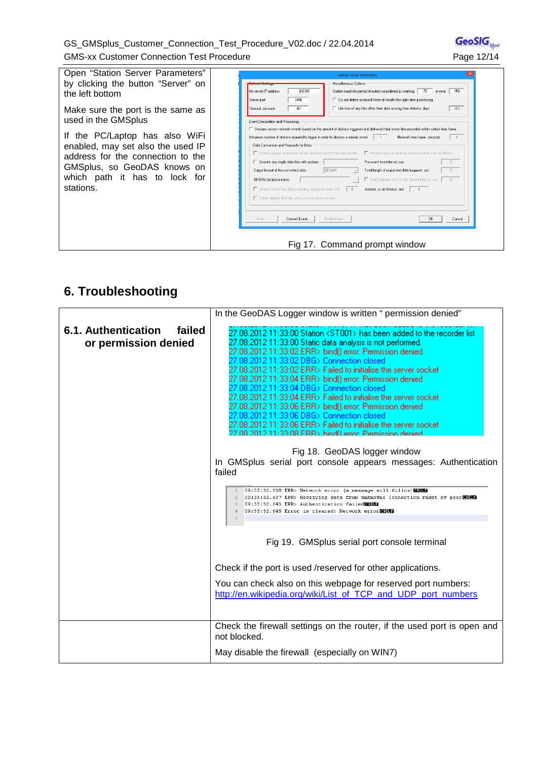#### GS\_GMSplus\_Customer\_Connection\_Test\_Procedure\_V02.doc / 22.04.2014 GMS-xx Customer Connection Test Procedure **Page 12/14** Page 12/14



Open "Station Server Parameters" by clicking the button "Server" on the left bottom

Make sure the port is the same as used in the GMSplus

If the PC/Laptop has also WiFi enabled, may set also the used IP address for the connection to the GMSplus, so GeoDAS knows on which path it has to lock for stations.

|                                                                                    | Miscellaneous Options                                                                                                                         |
|------------------------------------------------------------------------------------|-----------------------------------------------------------------------------------------------------------------------------------------------|
| 0.0.0.0<br>My server IP address                                                    | 150<br>Station inactivity period [minutes] considered as warning<br>70<br>or error                                                            |
| 3456<br>Server port                                                                | □ Do not delete received State-of-Health files right after processing                                                                         |
| 40<br>Timeout, seconds                                                             | E Life time of any files other than data arriving from stations, days<br>365                                                                  |
|                                                                                    |                                                                                                                                               |
| Event Declaration and Processing                                                   |                                                                                                                                               |
|                                                                                    | □ Declare seismic network events based on the amount of stations triggered and delivered their event files recorded within certain time frame |
| Minumum number of stations required to trigger in order to declare a seismic event | Network time frame, seconds                                                                                                                   |
| Data Conversion and Requests for Data                                              |                                                                                                                                               |
| □ Convert groups of data files of the declared seismic network events              | F Request data of declared seismic events from all stations                                                                                   |
| □ Convert any single data files with prefixes                                      | Pre-event time interval, sec<br>$\Omega$                                                                                                      |
| Output format of the converted data                                                | <b>SEISAN</b><br>Total length of requested data fragment, sec<br>0                                                                            |
| SEISAN database name                                                               | Send requests one by one. Query interval, sec<br>$\Box$                                                                                       |
| □ Convert event files after collecting requested data from                         | $\theta$<br>stations, or on timeout, sec<br>n.                                                                                                |
|                                                                                    |                                                                                                                                               |
| □ Delete original data files after successful conversion                           |                                                                                                                                               |
|                                                                                    |                                                                                                                                               |
| Convert Event                                                                      |                                                                                                                                               |
| More                                                                               | Notifications.<br>OK<br>Cancel                                                                                                                |

## **6. Troubleshooting**

|                                                       | In the GeoDAS Logger window is written " permission denied"                                                                                                                                                                                                                                                                                                                                                                                                                                                                                                                                                                                                                                                                                                              |  |
|-------------------------------------------------------|--------------------------------------------------------------------------------------------------------------------------------------------------------------------------------------------------------------------------------------------------------------------------------------------------------------------------------------------------------------------------------------------------------------------------------------------------------------------------------------------------------------------------------------------------------------------------------------------------------------------------------------------------------------------------------------------------------------------------------------------------------------------------|--|
| 6.1. Authentication<br>failed<br>or permission denied | 27.08.2012 11:33:00 Station <st001> has been added to the recorder list<br/>27.08.2012 11:33:00 Static data analysis is not performed.<br/>27.08.2012 11:33:02 ERR&gt; bind() error: Permission denied<br/>08.2012 11:33:02 DBG&gt; Connection closed<br/>27.08.2012 11:33:02 ERR&gt; Failed to initialise the server socket<br/>27.08.2012 11:33:04 ERR&gt; bind() error: Permission denied<br/>l8.2012 11:33:04 DBG&gt; Connection closed<br/>27.08.2012 11:33:04 ERR&gt; Failed to initialise the server socket<br/>27.08.2012 11:33:06 ERR&gt; bind() error: Permission denied<br/>8.2012 11:33:06 DBG&gt; Connection closed<br/>08.2012 11:33:06 ERR&gt; Failed to initialise the server socket<br/>08 2012 11:33:08 EBB&gt; bind0 error: Permission denied</st001> |  |
|                                                       | Fig 18. GeoDAS logger window<br>In GMSplus serial port console appears messages: Authentication<br>failed                                                                                                                                                                                                                                                                                                                                                                                                                                                                                                                                                                                                                                                                |  |
|                                                       | 1 09:35:32.638 ERR> Network error (a message will follow) @BUD9<br>2 09:35:32.637 ERR> Receiving data from unknown: Connection reset by peer 图明<br>3 09:35:32.643 ERR> Authentication failed 000<br>4 09:35:32.645 Error is cleared: Network error<br>5                                                                                                                                                                                                                                                                                                                                                                                                                                                                                                                  |  |
|                                                       | Fig 19. GMSplus serial port console terminal                                                                                                                                                                                                                                                                                                                                                                                                                                                                                                                                                                                                                                                                                                                             |  |
|                                                       | Check if the port is used /reserved for other applications.                                                                                                                                                                                                                                                                                                                                                                                                                                                                                                                                                                                                                                                                                                              |  |
|                                                       | You can check also on this webpage for reserved port numbers:<br>http://en.wikipedia.org/wiki/List of TCP and UDP port numbers                                                                                                                                                                                                                                                                                                                                                                                                                                                                                                                                                                                                                                           |  |
|                                                       | Check the firewall settings on the router, if the used port is open and<br>not blocked.                                                                                                                                                                                                                                                                                                                                                                                                                                                                                                                                                                                                                                                                                  |  |
|                                                       | May disable the firewall (especially on WIN7)                                                                                                                                                                                                                                                                                                                                                                                                                                                                                                                                                                                                                                                                                                                            |  |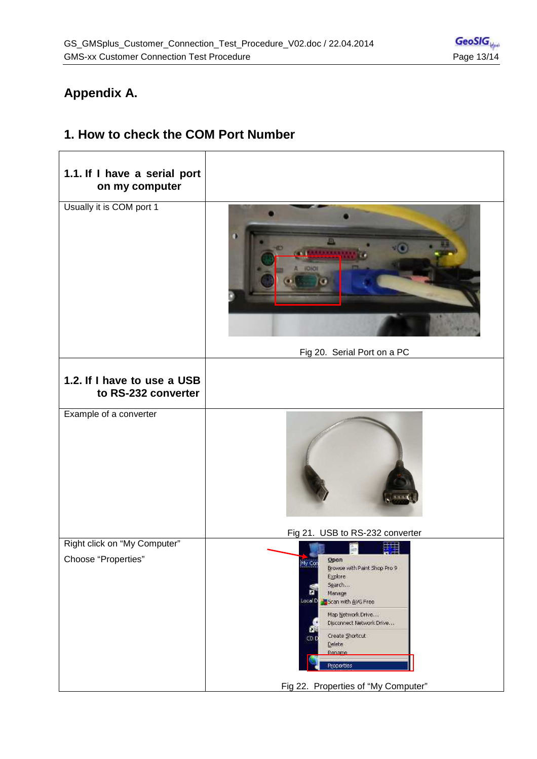## **Appendix A.**

## **1.1. If I have a serial port on my computer**  Usually it is COM port 1 Fig 20. Serial Port on a PC **1.2. If I have to use a USB to RS-232 converter** Example of a converter Fig 21. USB to RS-232 converter Right click on "My Computer" 霍 Choose "Properties" Open  $My$  Cor Browse with Paint Shop Pro 9 Explore Search... ñ Manage LocalD Scan with AVG Free Map Network Drive... Disconnect Network Drive... Create Shortcut CD<sub>1</sub> Delete Rename Properties Fig 22. Properties of "My Computer"

## **1. How to check the COM Port Number**